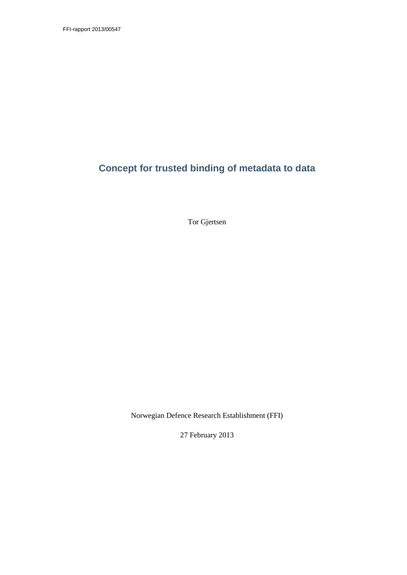FFI-rapport 2013/00547

# **Concept for trusted binding of metadata to data**

Tor Gjertsen

Norwegian Defence Research Establishment (FFI)

27 February 2013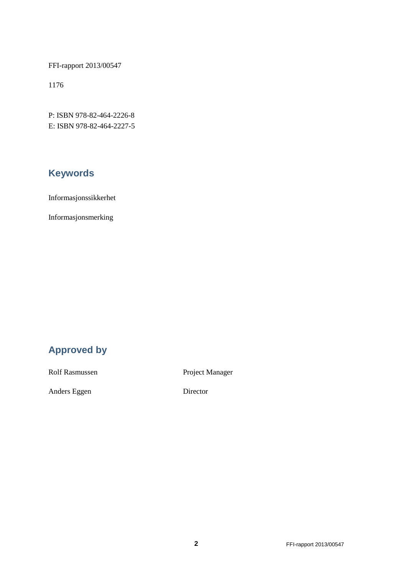FFI-rapport 2013/00547

1176

P: ISBN 978-82-464-2226-8 E: ISBN 978-82-464-2227-5

# **Keywords**

Informasjonssikkerhet

Informasjonsmerking

# **Approved by**

Rolf Rasmussen Project Manager

Anders Eggen Director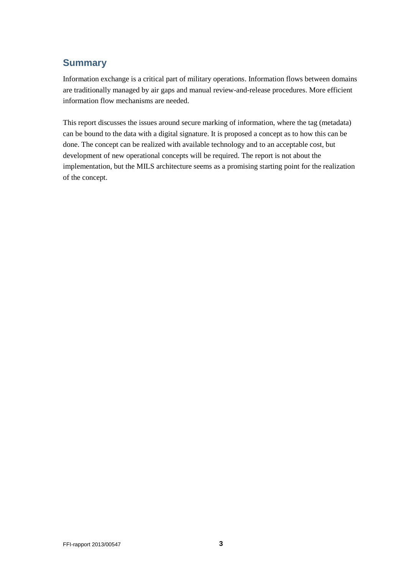## **Summary**

Information exchange is a critical part of military operations. Information flows between domains are traditionally managed by air gaps and manual review-and-release procedures. More efficient information flow mechanisms are needed.

This report discusses the issues around secure marking of information, where the tag (metadata) can be bound to the data with a digital signature. It is proposed a concept as to how this can be done. The concept can be realized with available technology and to an acceptable cost, but development of new operational concepts will be required. The report is not about the implementation, but the MILS architecture seems as a promising starting point for the realization of the concept.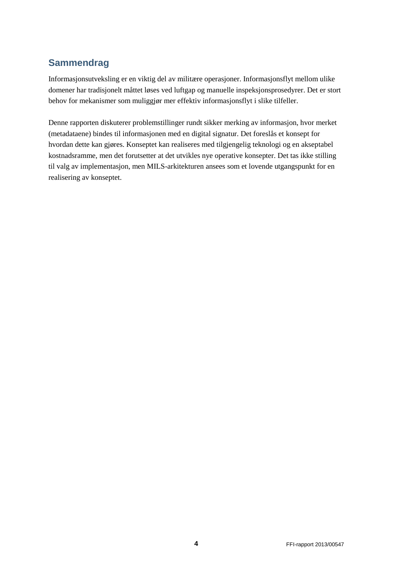## **Sammendrag**

Informasjonsutveksling er en viktig del av militære operasjoner. Informasjonsflyt mellom ulike domener har tradisjonelt måttet løses ved luftgap og manuelle inspeksjonsprosedyrer. Det er stort behov for mekanismer som muliggjør mer effektiv informasjonsflyt i slike tilfeller.

Denne rapporten diskuterer problemstillinger rundt sikker merking av informasjon, hvor merket (metadataene) bindes til informasjonen med en digital signatur. Det foreslås et konsept for hvordan dette kan gjøres. Konseptet kan realiseres med tilgjengelig teknologi og en akseptabel kostnadsramme, men det forutsetter at det utvikles nye operative konsepter. Det tas ikke stilling til valg av implementasjon, men MILS-arkitekturen ansees som et lovende utgangspunkt for en realisering av konseptet.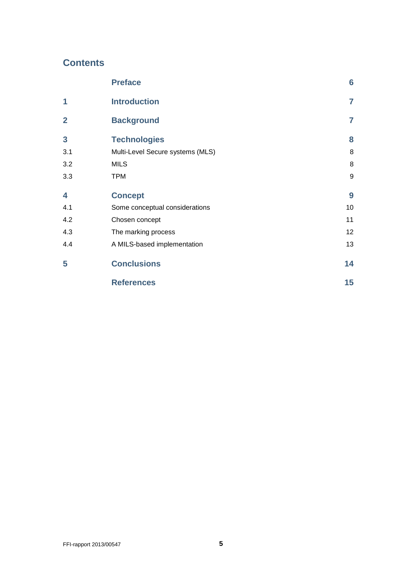## **Contents**

<span id="page-4-0"></span>

|                | <b>Preface</b>                   | $6\phantom{1}6$ |
|----------------|----------------------------------|-----------------|
| 1              | <b>Introduction</b>              | $\overline{7}$  |
| $\overline{2}$ | <b>Background</b>                | $\overline{7}$  |
| 3              | <b>Technologies</b>              | 8               |
| 3.1            | Multi-Level Secure systems (MLS) | 8               |
| 3.2            | <b>MILS</b>                      | 8               |
| 3.3            | <b>TPM</b>                       | 9               |
| 4              | <b>Concept</b>                   | 9               |
| 4.1            | Some conceptual considerations   | 10              |
| 4.2            | Chosen concept                   | 11              |
| 4.3            | The marking process              | 12              |
| 4.4            | A MILS-based implementation      | 13              |
| 5              | <b>Conclusions</b>               | 14              |
|                | <b>References</b>                | 15              |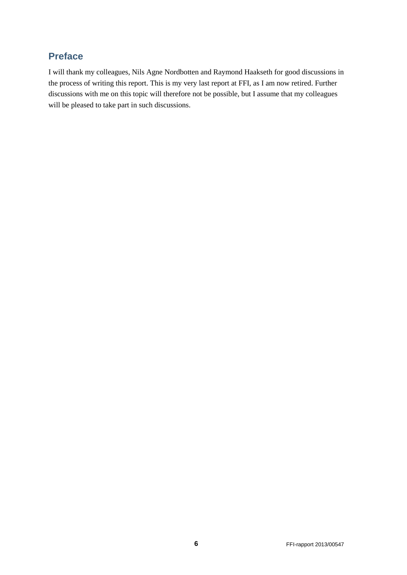## **Preface**

I will thank my colleagues, Nils Agne Nordbotten and Raymond Haakseth for good discussions in the process of writing this report. This is my very last report at FFI, as I am now retired. Further discussions with me on this topic will therefore not be possible, but I assume that my colleagues will be pleased to take part in such discussions.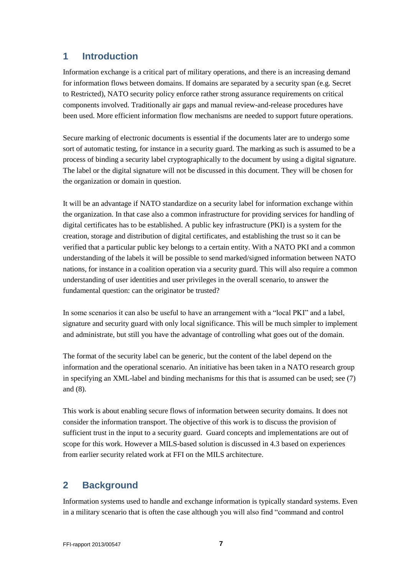### <span id="page-6-0"></span>**1 Introduction**

Information exchange is a critical part of military operations, and there is an increasing demand for information flows between domains. If domains are separated by a security span (e.g. Secret to Restricted), NATO security policy enforce rather strong assurance requirements on critical components involved. Traditionally air gaps and manual review-and-release procedures have been used. More efficient information flow mechanisms are needed to support future operations.

Secure marking of electronic documents is essential if the documents later are to undergo some sort of automatic testing, for instance in a security guard. The marking as such is assumed to be a process of binding a security label cryptographically to the document by using a digital signature. The label or the digital signature will not be discussed in this document. They will be chosen for the organization or domain in question.

It will be an advantage if NATO standardize on a security label for information exchange within the organization. In that case also a common infrastructure for providing services for handling of digital certificates has to be established. A public key infrastructure (PKI) is a system for the creation, storage and distribution of digital certificates, and establishing the trust so it can be verified that a particular public key belongs to a certain entity. With a NATO PKI and a common understanding of the labels it will be possible to send marked/signed information between NATO nations, for instance in a coalition operation via a security guard. This will also require a common understanding of user identities and user privileges in the overall scenario, to answer the fundamental question: can the originator be trusted?

In some scenarios it can also be useful to have an arrangement with a "local PKI" and a label, signature and security guard with only local significance. This will be much simpler to implement and administrate, but still you have the advantage of controlling what goes out of the domain.

The format of the security label can be generic, but the content of the label depend on the information and the operational scenario. An initiative has been taken in a NATO research group in specifying an XML-label and binding mechanisms for this that is assumed can be used; see (7) and (8).

This work is about enabling secure flows of information between security domains. It does not consider the information transport. The objective of this work is to discuss the provision of sufficient trust in the input to a security guard. Guard concepts and implementations are out of scope for this work. However a MILS-based solution is discussed in 4.3 based on experiences from earlier security related work at FFI on the MILS architecture.

## <span id="page-6-1"></span>**2 Background**

Information systems used to handle and exchange information is typically standard systems. Even in a military scenario that is often the case although you will also find "command and control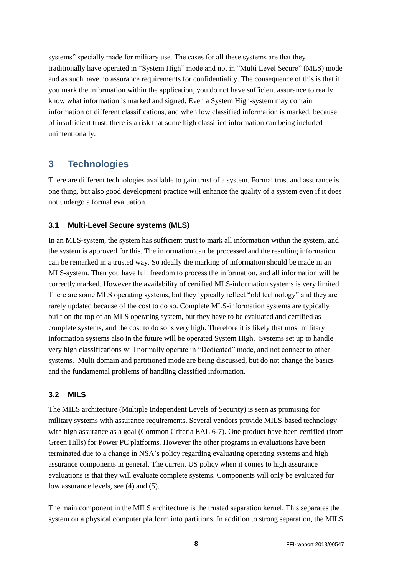systems" specially made for military use. The cases for all these systems are that they traditionally have operated in "System High" mode and not in "Multi Level Secure" (MLS) mode and as such have no assurance requirements for confidentiality. The consequence of this is that if you mark the information within the application, you do not have sufficient assurance to really know what information is marked and signed. Even a System High-system may contain information of different classifications, and when low classified information is marked, because of insufficient trust, there is a risk that some high classified information can being included unintentionally.

## <span id="page-7-0"></span>**3 Technologies**

There are different technologies available to gain trust of a system. Formal trust and assurance is one thing, but also good development practice will enhance the quality of a system even if it does not undergo a formal evaluation.

#### <span id="page-7-1"></span>**3.1 Multi-Level Secure systems (MLS)**

In an MLS-system, the system has sufficient trust to mark all information within the system, and the system is approved for this. The information can be processed and the resulting information can be remarked in a trusted way. So ideally the marking of information should be made in an MLS-system. Then you have full freedom to process the information, and all information will be correctly marked. However the availability of certified MLS-information systems is very limited. There are some MLS operating systems, but they typically reflect "old technology" and they are rarely updated because of the cost to do so. Complete MLS-information systems are typically built on the top of an MLS operating system, but they have to be evaluated and certified as complete systems, and the cost to do so is very high. Therefore it is likely that most military information systems also in the future will be operated System High. Systems set up to handle very high classifications will normally operate in "Dedicated" mode, and not connect to other systems. Multi domain and partitioned mode are being discussed, but do not change the basics and the fundamental problems of handling classified information.

#### <span id="page-7-2"></span>**3.2 MILS**

The MILS architecture (Multiple Independent Levels of Security) is seen as promising for military systems with assurance requirements. Several vendors provide MILS-based technology with high assurance as a goal (Common Criteria EAL 6-7). One product have been certified (from Green Hills) for Power PC platforms. However the other programs in evaluations have been terminated due to a change in NSA's policy regarding evaluating operating systems and high assurance components in general. The current US policy when it comes to high assurance evaluations is that they will evaluate complete systems. Components will only be evaluated for low assurance levels, see (4) and (5).

The main component in the MILS architecture is the trusted separation kernel. This separates the system on a physical computer platform into partitions. In addition to strong separation, the MILS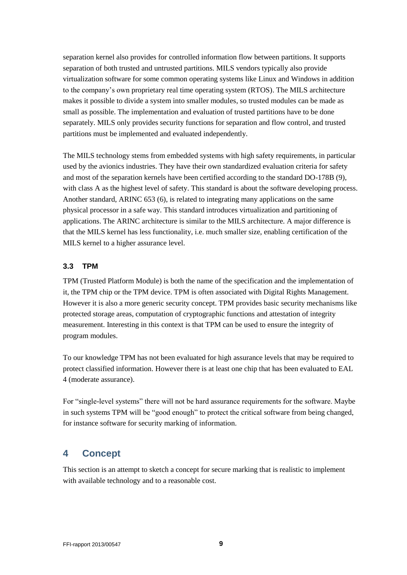separation kernel also provides for controlled information flow between partitions. It supports separation of both trusted and untrusted partitions. MILS vendors typically also provide virtualization software for some common operating systems like Linux and Windows in addition to the company's own proprietary real time operating system (RTOS). The MILS architecture makes it possible to divide a system into smaller modules, so trusted modules can be made as small as possible. The implementation and evaluation of trusted partitions have to be done separately. MILS only provides security functions for separation and flow control, and trusted partitions must be implemented and evaluated independently.

The MILS technology stems from embedded systems with high safety requirements, in particular used by the avionics industries. They have their own standardized evaluation criteria for safety and most of the separation kernels have been certified according to the standard DO-178B (9), with class A as the highest level of safety. This standard is about the software developing process. Another standard, ARINC 653 (6), is related to integrating many applications on the same physical processor in a safe way. This standard introduces virtualization and partitioning of applications. The ARINC architecture is similar to the MILS architecture. A major difference is that the MILS kernel has less functionality, i.e. much smaller size, enabling certification of the MILS kernel to a higher assurance level.

#### <span id="page-8-0"></span>**3.3 TPM**

TPM (Trusted Platform Module) is both the name of the specification and the implementation of it, the TPM chip or the TPM device. TPM is often associated with Digital Rights Management. However it is also a more generic security concept. TPM provides basic security mechanisms like protected storage areas, computation of cryptographic functions and attestation of integrity measurement. Interesting in this context is that TPM can be used to ensure the integrity of program modules.

To our knowledge TPM has not been evaluated for high assurance levels that may be required to protect classified information. However there is at least one chip that has been evaluated to EAL 4 (moderate assurance).

For "single-level systems" there will not be hard assurance requirements for the software. Maybe in such systems TPM will be "good enough" to protect the critical software from being changed, for instance software for security marking of information.

## <span id="page-8-1"></span>**4 Concept**

This section is an attempt to sketch a concept for secure marking that is realistic to implement with available technology and to a reasonable cost.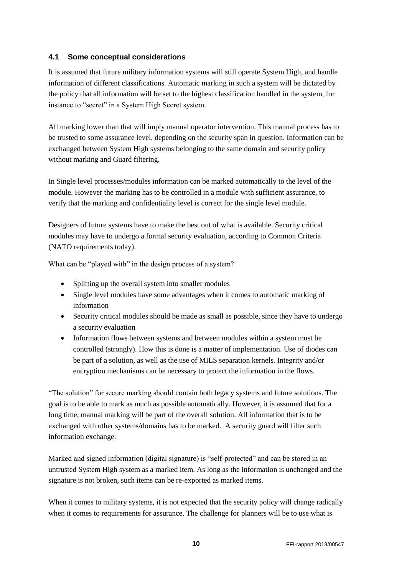#### <span id="page-9-0"></span>**4.1 Some conceptual considerations**

It is assumed that future military information systems will still operate System High, and handle information of different classifications. Automatic marking in such a system will be dictated by the policy that all information will be set to the highest classification handled in the system, for instance to "secret" in a System High Secret system.

All marking lower than that will imply manual operator intervention. This manual process has to be trusted to some assurance level, depending on the security span in question. Information can be exchanged between System High systems belonging to the same domain and security policy without marking and Guard filtering.

In Single level processes/modules information can be marked automatically to the level of the module. However the marking has to be controlled in a module with sufficient assurance, to verify that the marking and confidentiality level is correct for the single level module.

Designers of future systems have to make the best out of what is available. Security critical modules may have to undergo a formal security evaluation, according to Common Criteria (NATO requirements today).

What can be "played with" in the design process of a system?

- Splitting up the overall system into smaller modules
- Single level modules have some advantages when it comes to automatic marking of information
- Security critical modules should be made as small as possible, since they have to undergo a security evaluation
- Information flows between systems and between modules within a system must be controlled (strongly). How this is done is a matter of implementation. Use of diodes can be part of a solution, as well as the use of MILS separation kernels. Integrity and/or encryption mechanisms can be necessary to protect the information in the flows.

"The solution" for secure marking should contain both legacy systems and future solutions. The goal is to be able to mark as much as possible automatically. However, it is assumed that for a long time, manual marking will be part of the overall solution. All information that is to be exchanged with other systems/domains has to be marked. A security guard will filter such information exchange.

Marked and signed information (digital signature) is "self-protected" and can be stored in an untrusted System High system as a marked item. As long as the information is unchanged and the signature is not broken, such items can be re-exported as marked items.

When it comes to military systems, it is not expected that the security policy will change radically when it comes to requirements for assurance. The challenge for planners will be to use what is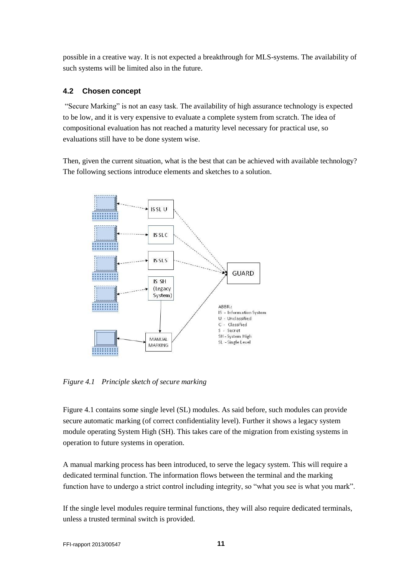possible in a creative way. It is not expected a breakthrough for MLS-systems. The availability of such systems will be limited also in the future.

#### <span id="page-10-0"></span>**4.2 Chosen concept**

"Secure Marking" is not an easy task. The availability of high assurance technology is expected to be low, and it is very expensive to evaluate a complete system from scratch. The idea of compositional evaluation has not reached a maturity level necessary for practical use, so evaluations still have to be done system wise.

Then, given the current situation, what is the best that can be achieved with available technology? The following sections introduce elements and sketches to a solution.



*Figure 4.1 Principle sketch of secure marking*

Figure 4.1 contains some single level (SL) modules. As said before, such modules can provide secure automatic marking (of correct confidentiality level). Further it shows a legacy system module operating System High (SH). This takes care of the migration from existing systems in operation to future systems in operation.

A manual marking process has been introduced, to serve the legacy system. This will require a dedicated terminal function. The information flows between the terminal and the marking function have to undergo a strict control including integrity, so "what you see is what you mark".

If the single level modules require terminal functions, they will also require dedicated terminals, unless a trusted terminal switch is provided.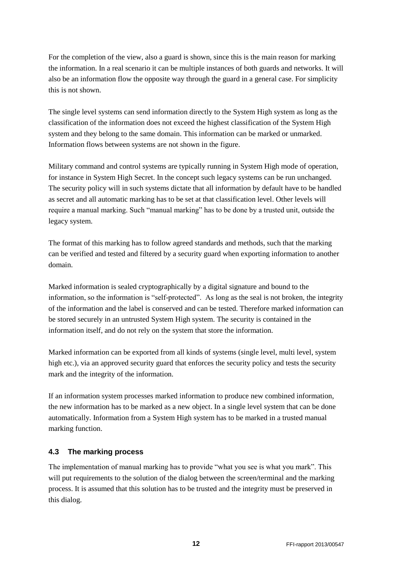For the completion of the view, also a guard is shown, since this is the main reason for marking the information. In a real scenario it can be multiple instances of both guards and networks. It will also be an information flow the opposite way through the guard in a general case. For simplicity this is not shown.

The single level systems can send information directly to the System High system as long as the classification of the information does not exceed the highest classification of the System High system and they belong to the same domain. This information can be marked or unmarked. Information flows between systems are not shown in the figure.

Military command and control systems are typically running in System High mode of operation, for instance in System High Secret. In the concept such legacy systems can be run unchanged. The security policy will in such systems dictate that all information by default have to be handled as secret and all automatic marking has to be set at that classification level. Other levels will require a manual marking. Such "manual marking" has to be done by a trusted unit, outside the legacy system.

The format of this marking has to follow agreed standards and methods, such that the marking can be verified and tested and filtered by a security guard when exporting information to another domain.

Marked information is sealed cryptographically by a digital signature and bound to the information, so the information is "self-protected". As long as the seal is not broken, the integrity of the information and the label is conserved and can be tested. Therefore marked information can be stored securely in an untrusted System High system. The security is contained in the information itself, and do not rely on the system that store the information.

Marked information can be exported from all kinds of systems (single level, multi level, system high etc.), via an approved security guard that enforces the security policy and tests the security mark and the integrity of the information.

If an information system processes marked information to produce new combined information, the new information has to be marked as a new object. In a single level system that can be done automatically. Information from a System High system has to be marked in a trusted manual marking function.

#### <span id="page-11-0"></span>**4.3 The marking process**

The implementation of manual marking has to provide "what you see is what you mark". This will put requirements to the solution of the dialog between the screen/terminal and the marking process. It is assumed that this solution has to be trusted and the integrity must be preserved in this dialog.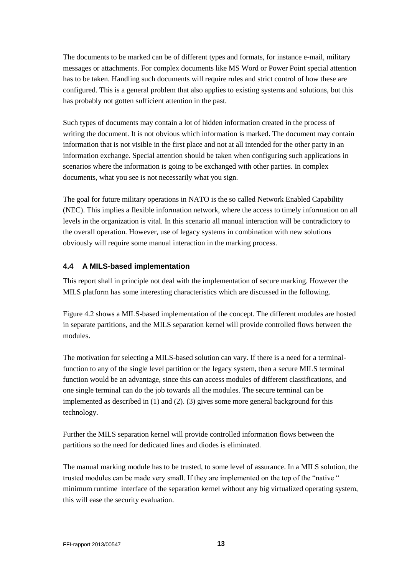The documents to be marked can be of different types and formats, for instance e-mail, military messages or attachments. For complex documents like MS Word or Power Point special attention has to be taken. Handling such documents will require rules and strict control of how these are configured. This is a general problem that also applies to existing systems and solutions, but this has probably not gotten sufficient attention in the past.

Such types of documents may contain a lot of hidden information created in the process of writing the document. It is not obvious which information is marked. The document may contain information that is not visible in the first place and not at all intended for the other party in an information exchange. Special attention should be taken when configuring such applications in scenarios where the information is going to be exchanged with other parties. In complex documents, what you see is not necessarily what you sign.

The goal for future military operations in NATO is the so called Network Enabled Capability (NEC). This implies a flexible information network, where the access to timely information on all levels in the organization is vital. In this scenario all manual interaction will be contradictory to the overall operation. However, use of legacy systems in combination with new solutions obviously will require some manual interaction in the marking process.

#### <span id="page-12-0"></span>**4.4 A MILS-based implementation**

This report shall in principle not deal with the implementation of secure marking. However the MILS platform has some interesting characteristics which are discussed in the following.

Figure 4.2 shows a MILS-based implementation of the concept. The different modules are hosted in separate partitions, and the MILS separation kernel will provide controlled flows between the modules.

The motivation for selecting a MILS-based solution can vary. If there is a need for a terminalfunction to any of the single level partition or the legacy system, then a secure MILS terminal function would be an advantage, since this can access modules of different classifications, and one single terminal can do the job towards all the modules. The secure terminal can be implemented as described in (1) and (2). (3) gives some more general background for this technology.

Further the MILS separation kernel will provide controlled information flows between the partitions so the need for dedicated lines and diodes is eliminated.

The manual marking module has to be trusted, to some level of assurance. In a MILS solution, the trusted modules can be made very small. If they are implemented on the top of the "native " minimum runtime interface of the separation kernel without any big virtualized operating system, this will ease the security evaluation.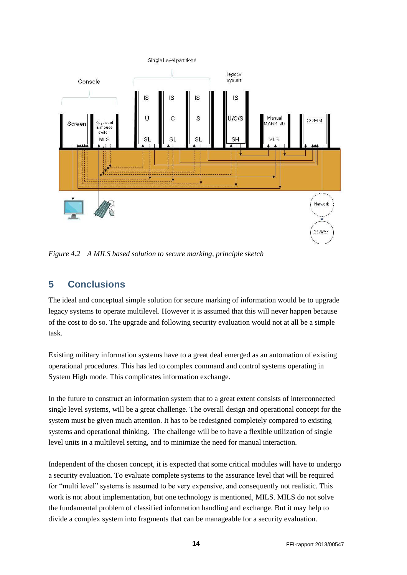

<span id="page-13-0"></span>*Figure 4.2 A MILS based solution to secure marking, principle sketch*

## **5 Conclusions**

The ideal and conceptual simple solution for secure marking of information would be to upgrade legacy systems to operate multilevel. However it is assumed that this will never happen because of the cost to do so. The upgrade and following security evaluation would not at all be a simple task.

Existing military information systems have to a great deal emerged as an automation of existing operational procedures. This has led to complex command and control systems operating in System High mode. This complicates information exchange.

In the future to construct an information system that to a great extent consists of interconnected single level systems, will be a great challenge. The overall design and operational concept for the system must be given much attention. It has to be redesigned completely compared to existing systems and operational thinking. The challenge will be to have a flexible utilization of single level units in a multilevel setting, and to minimize the need for manual interaction.

Independent of the chosen concept, it is expected that some critical modules will have to undergo a security evaluation. To evaluate complete systems to the assurance level that will be required for "multi level" systems is assumed to be very expensive, and consequently not realistic. This work is not about implementation, but one technology is mentioned, MILS. MILS do not solve the fundamental problem of classified information handling and exchange. But it may help to divide a complex system into fragments that can be manageable for a security evaluation.